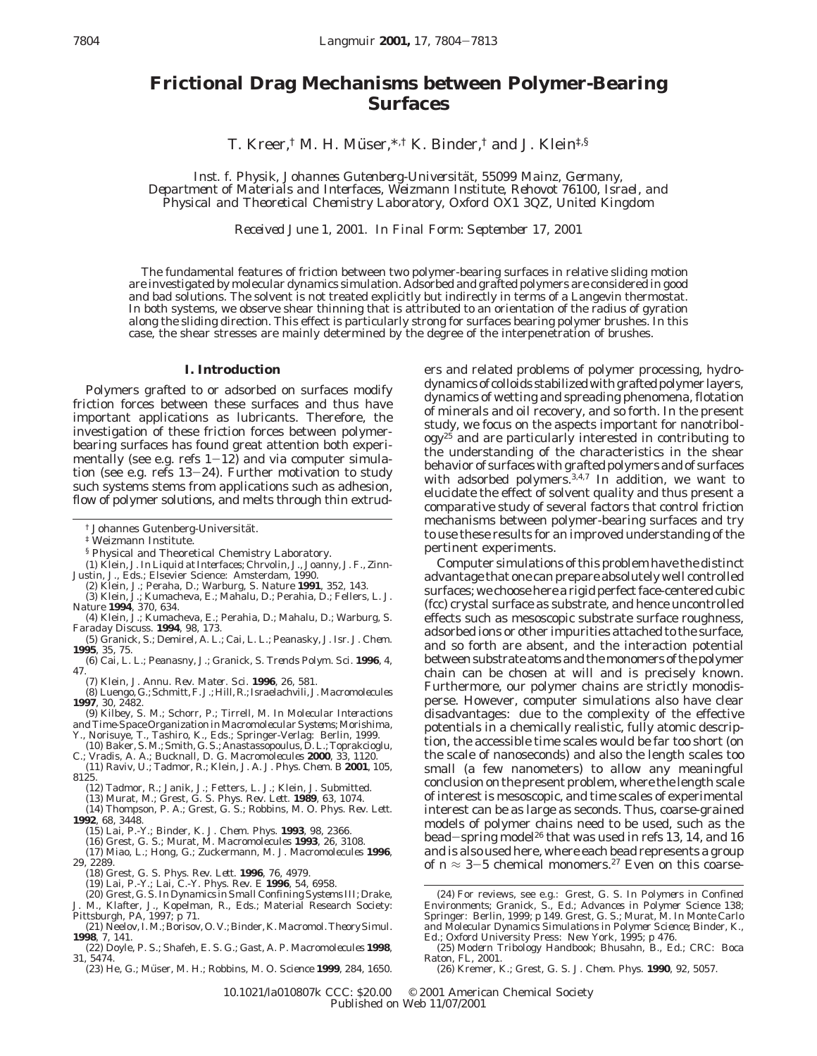# **Frictional Drag Mechanisms between Polymer-Bearing Surfaces**

T. Kreer,<sup>†</sup> M. H. Müser,<sup>\*,†</sup> K. Binder,<sup>†</sup> and J. Klein<sup>‡,§</sup>

*Inst. f. Physik, Johannes Gutenberg-Universita*¨*t, 55099 Mainz, Germany, Department of Materials and Interfaces, Weizmann Institute, Rehovot 76100, Israel, and Physical and Theoretical Chemistry Laboratory, Oxford OX1 3QZ, United Kingdom*

*Received June 1, 2001. In Final Form: September 17, 2001*

The fundamental features of friction between two polymer-bearing surfaces in relative sliding motion are investigated by molecular dynamics simulation. Adsorbed and grafted polymers are considered in good and bad solutions. The solvent is not treated explicitly but indirectly in terms of a Langevin thermostat. In both systems, we observe shear thinning that is attributed to an orientation of the radius of gyration along the sliding direction. This effect is particularly strong for surfaces bearing polymer brushes. In this case, the shear stresses are mainly determined by the degree of the interpenetration of brushes.

## **I. Introduction**

Polymers grafted to or adsorbed on surfaces modify friction forces between these surfaces and thus have important applications as lubricants. Therefore, the investigation of these friction forces between polymerbearing surfaces has found great attention both experimentally (see e.g. refs  $1-12$ ) and via computer simulation (see e.g. refs 13-24). Further motivation to study such systems stems from applications such as adhesion, flow of polymer solutions, and melts through thin extrud-

‡ Weizmann Institute.

- § Physical and Theoretical Chemistry Laboratory.
- (1) Klein, J. In *Liquid at Interfaces*; Chrvolin, J., Joanny, J. F., Zinn-Justin, J., Eds.; Elsevier Science: Amsterdam, 1990.
- (2) Klein, J.; Peraha, D.; Warburg, S. *Nature* **1991**, *352*, 143.
- (3) Klein, J.; Kumacheva, E.; Mahalu, D.; Perahia, D.; Fellers, L. J. *Nature* **1994**, *370*, 634.
- (4) Klein, J.; Kumacheva, E.; Perahia, D.; Mahalu, D.; Warburg, S. *Faraday Discuss*. **1994**, *98*, 173.
- (5) Granick, S.; Demirel, A. L.; Cai, L. L.; Peanasky, J. *Isr. J. Chem*. **1995**, *35*, 75.
- (6) Cai, L. L.; Peanasny, J.; Granick, S. *Trends Polym. Sci*. **1996**, *4*, 47.
- (7) Klein, J. *Annu. Rev. Mater. Sci*. **1996**, *26*, 581.
- (8) Luengo, G.; Schmitt, F. J.; Hill, R.; Israelachvili, J.*Macromolecules* **1997**, *30*, 2482.
- (9) Kilbey, S. M.; Schorr, P.; Tirrell, M. In *Molecular Interactions and Time-Space Organization in Macromolecular Systems*; Morishima,
- Y., Norisuye, T., Tashiro, K., Eds.; Springer-Verlag: Berlin, 1999. (10) Baker, S. M.; Smith, G. S.; Anastassopoulus, D. L.; Toprakcioglu,
- C.; Vradis, A. A.; Bucknall, D. G. *Macromolecules* **2000**, *33*, 1120.
- (11) Raviv, U.; Tadmor, R.; Klein, J. A. *J. Phys. Chem. B* **2001**, *105*, 8125.
- (12) Tadmor, R.; Janik, J.; Fetters, L. J.; Klein, J. Submitted.
- (13) Murat, M.; Grest, G. S. *Phys. Rev. Lett*. **1989**, *63*, 1074.

(14) Thompson, P. A.; Grest, G. S.; Robbins, M. O. *Phys. Rev. Lett*. **1992**, *68*, 3448.

- (16) Grest, G. S.; Murat, M. *Macromolecules* **1993**, *26*, 3108.
- (17) Miao, L.; Hong, G.; Zuckermann, M. J. *Macromolecules* **1996**, *29*, 2289.
	-
	- (18) Grest, G. S. *Phys. Rev. Lett*. **1996**, *76*, 4979. (19) Lai, P.-Y.; Lai, C.-Y. *Phys. Rev. E* **1996**, *54*, 6958.
- (20) Grest, G. S. In *Dynamics in Small Confining Systems III*; Drake,
- J. M., Klafter, J., Kopelman, R., Eds.; Material Research Society: Pittsburgh, PA, 1997; p 71. (21) Neelov, I. M.; Borisov, O. V.; Binder, K. *Macromol. Theory Simul*.
- **1998**, *7*, 141.
- (22) Doyle, P. S.; Shafeh, E. S. G.; Gast, A. P. *Macromolecules* **1998**, *31*, 5474.
- (23) He, G.; Mu¨ ser, M. H.; Robbins, M. O. *Science* **1999**, *284*, 1650.

ers and related problems of polymer processing, hydrodynamics of colloids stabilized with grafted polymer layers, dynamics of wetting and spreading phenomena, flotation of minerals and oil recovery, and so forth. In the present study, we focus on the aspects important for nanotribol $ogy^{25}$  and are particularly interested in contributing to the understanding of the characteristics in the shear behavior of surfaces with grafted polymers and of surfaces with adsorbed polymers.<sup>3,4,7</sup> In addition, we want to elucidate the effect of solvent quality and thus present a comparative study of several factors that control friction mechanisms between polymer-bearing surfaces and try to use these results for an improved understanding of the pertinent experiments.

Computer simulations of this problem have the distinct advantage that one can prepare absolutely well controlled surfaces; we choose here a rigid perfect face-centered cubic (fcc) crystal surface as substrate, and hence uncontrolled effects such as mesoscopic substrate surface roughness, adsorbed ions or other impurities attached to the surface, and so forth are absent, and the interaction potential between substrate atoms and the monomers of the polymer chain can be chosen at will and is precisely known. Furthermore, our polymer chains are strictly monodisperse. However, computer simulations also have clear disadvantages: due to the complexity of the effective potentials in a chemically realistic, fully atomic description, the accessible time scales would be far too short (on the scale of nanoseconds) and also the length scales too small (a few nanometers) to allow any meaningful conclusion on the present problem, where the length scale of interest is mesoscopic, and time scales of experimental interest can be as large as seconds. Thus, coarse-grained models of polymer chains need to be used, such as the bead-spring model<sup>26</sup> that was used in refs 13, 14, and 16 and is also used here, where each bead represents a group of  $n \approx 3-5$  chemical monomers.<sup>27</sup> Even on this coarse-

<sup>†</sup> Johannes Gutenberg-Universität.

<sup>(15)</sup> Lai, P.-Y.; Binder, K. *J. Chem. Phys*. **1993**, *98*, 2366.

<sup>(24)</sup> For reviews, see e.g.: Grest, G. S. In *Polymers in Confined Environments*; Granick, S., Ed.; *Advances in Polymer Science 138*; Springer: Berlin, 1999; p 149. Grest, G. S.; Murat, M. In *Monte Carlo and Molecular Dynamics Simulations in Polymer Science*; Binder, K., Ed.; Oxford University Press: New York, 1995; p 476. (25) *Modern Tribology Handbook*; Bhusahn, B., Ed.; CRC: Boca

Raton, FL, 2001.

<sup>(26)</sup> Kremer, K.; Grest, G. S. *J. Chem. Phys*. **1990**, *92*, 5057.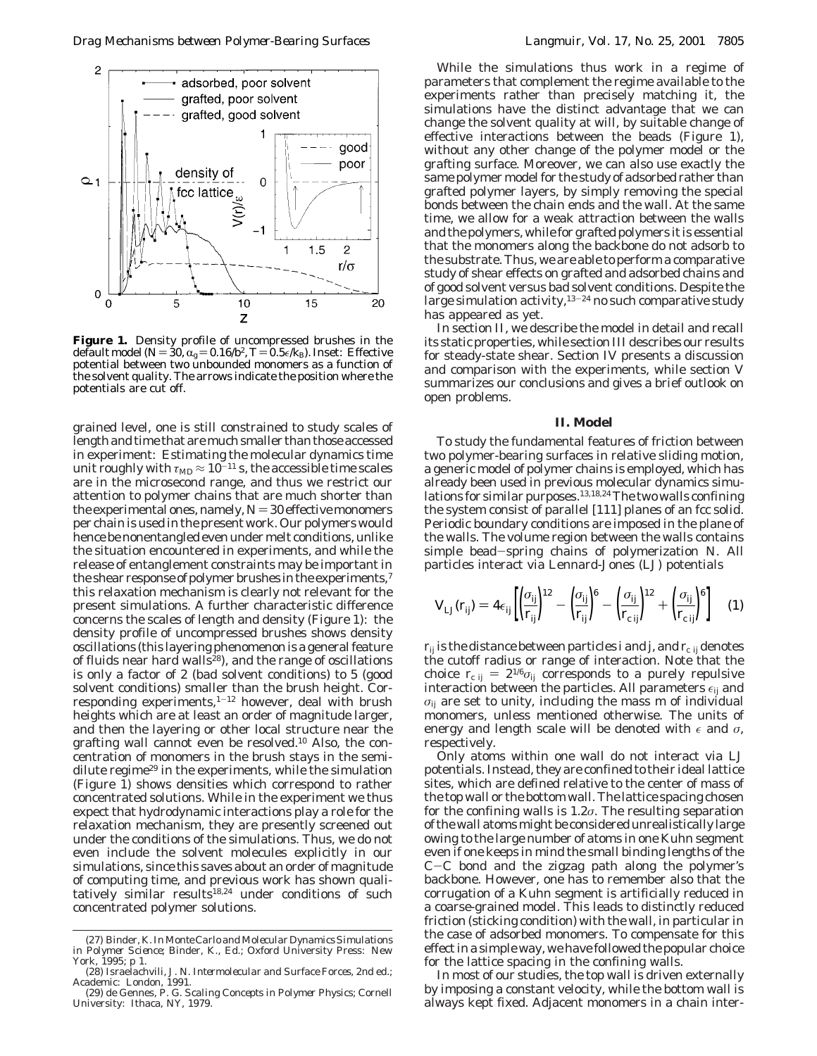

**Figure 1.** Density profile of uncompressed brushes in the default model ( $N = 30$ ,  $\alpha_g = 0.16/b^2$ ,  $T = 0.5\epsilon/k_B$ ). Inset: Effective potential between two unbounded monomers as a function of the solvent quality. The arrows indicate the position where the potentials are cut off.

grained level, one is still constrained to study scales of length and time that are much smaller than those accessed in experiment: Estimating the molecular dynamics time unit roughly with  $\tau_{MD} \approx 10^{-11}$  s, the accessible time scales are in the microsecond range, and thus we restrict our attention to polymer chains that are much shorter than the experimental ones, namely,  $N = 30$  effective monomers per chain is used in the present work. Our polymers would hence be nonentangled even under melt conditions, unlike the situation encountered in experiments, and while the release of entanglement constraints may be important in the shear response of polymer brushes in the experiments,<sup>7</sup> this relaxation mechanism is clearly not relevant for the present simulations. A further characteristic difference concerns the scales of length and density (Figure 1): the density profile of uncompressed brushes shows density oscillations (this layering phenomenon is a general feature of fluids near hard walls<sup>28</sup>), and the range of oscillations is only a factor of 2 (bad solvent conditions) to 5 (good solvent conditions) smaller than the brush height. Corresponding experiments,<sup>1-12</sup> however, deal with brush heights which are at least an order of magnitude larger, and then the layering or other local structure near the grafting wall cannot even be resolved.10 Also, the concentration of monomers in the brush stays in the semidilute regime<sup>29</sup> in the experiments, while the simulation (Figure 1) shows densities which correspond to rather concentrated solutions. While in the experiment we thus expect that hydrodynamic interactions play a role for the relaxation mechanism, they are presently screened out under the conditions of the simulations. Thus, we do not even include the solvent molecules explicitly in our simulations, since this saves about an order of magnitude of computing time, and previous work has shown qualitatively similar results<sup>18,24</sup> under conditions of such concentrated polymer solutions.

While the simulations thus work in a regime of parameters that complement the regime available to the experiments rather than precisely matching it, the simulations have the distinct advantage that we can change the solvent quality at will, by suitable change of effective interactions between the beads (Figure 1), without any other change of the polymer model or the grafting surface. Moreover, we can also use exactly the same polymer model for the study of adsorbed rather than grafted polymer layers, by simply removing the special bonds between the chain ends and the wall. At the same time, we allow for a weak attraction between the walls and the polymers, while for grafted polymers it is essential that the monomers along the backbone do not adsorb to the substrate. Thus, we are able to perform a comparative study of shear effects on grafted and adsorbed chains and of good solvent versus bad solvent conditions. Despite the large simulation activity,  $13-24$  no such comparative study has appeared as yet.

In section II, we describe the model in detail and recall its static properties, while section III describes our results for steady-state shear. Section IV presents a discussion and comparison with the experiments, while section V summarizes our conclusions and gives a brief outlook on open problems.

## **II. Model**

To study the fundamental features of friction between two polymer-bearing surfaces in relative sliding motion, a generic model of polymer chains is employed, which has already been used in previous molecular dynamics simulations for similar purposes.<sup>13,18,24</sup> The two walls confining the system consist of parallel [111] planes of an fcc solid. Periodic boundary conditions are imposed in the plane of the walls. The volume region between the walls contains simple bead-spring chains of polymerization *<sup>N</sup>*. All particles interact via Lennard-Jones (LJ) potentials

$$
V_{\text{LJ}}(r_{ij}) = 4\epsilon_{ij} \left[ \left( \frac{\sigma_{ij}}{r_{ij}} \right)^{12} - \left( \frac{\sigma_{ij}}{r_{ij}} \right)^{6} - \left( \frac{\sigma_{ij}}{r_{\text{c}}}} \right)^{12} + \left( \frac{\sigma_{ij}}{r_{\text{c}}}} \right)^{6} \right] \tag{1}
$$

 $r_{ij}$  is the distance between particles *i* and *j*, and  $r_{ci}$  *i* denotes the cutoff radius or range of interaction. Note that the choice  $r_{c ij} = 2^{1/6} \sigma_{ij}$  corresponds to a purely repulsive interaction between the particles. All parameters  $\epsilon_{ij}$  and *σij* are set to unity, including the mass *m* of individual monomers, unless mentioned otherwise. The units of energy and length scale will be denoted with  $\epsilon$  and  $\sigma$ , respectively.

Only atoms within one wall do not interact via LJ potentials. Instead, they are confined to their ideal lattice sites, which are defined relative to the center of mass of the top wall or the bottom wall. The lattice spacing chosen for the confining walls is 1.2*σ*. The resulting separation of the wall atoms might be considered unrealistically large owing to the large number of atoms in one Kuhn segment even if one keeps in mind the small binding lengths of the <sup>C</sup>-C bond and the zigzag path along the polymer's backbone. However, one has to remember also that the corrugation of a Kuhn segment is artificially reduced in a coarse-grained model. This leads to distinctly reduced friction (sticking condition) with the wall, in particular in the case of adsorbed monomers. To compensate for this effect in a simple way, we have followed the popular choice for the lattice spacing in the confining walls.

In most of our studies, the top wall is driven externally by imposing a constant velocity, while the bottom wall is always kept fixed. Adjacent monomers in a chain inter-

<sup>(27)</sup> Binder, K. In*Monte Carlo and Molecular Dynamics Simulations in Polymer Science*; Binder, K., Ed.; Oxford University Press: New York, 1995; p 1.

<sup>(28)</sup> Israelachvili, J. N. *Intermolecular and Surface Forces*, 2nd ed.; Academic: London, 1991.

<sup>(29)</sup> de Gennes, P. G. *Scaling Concepts in Polymer Physics*; Cornell University: Ithaca, NY, 1979.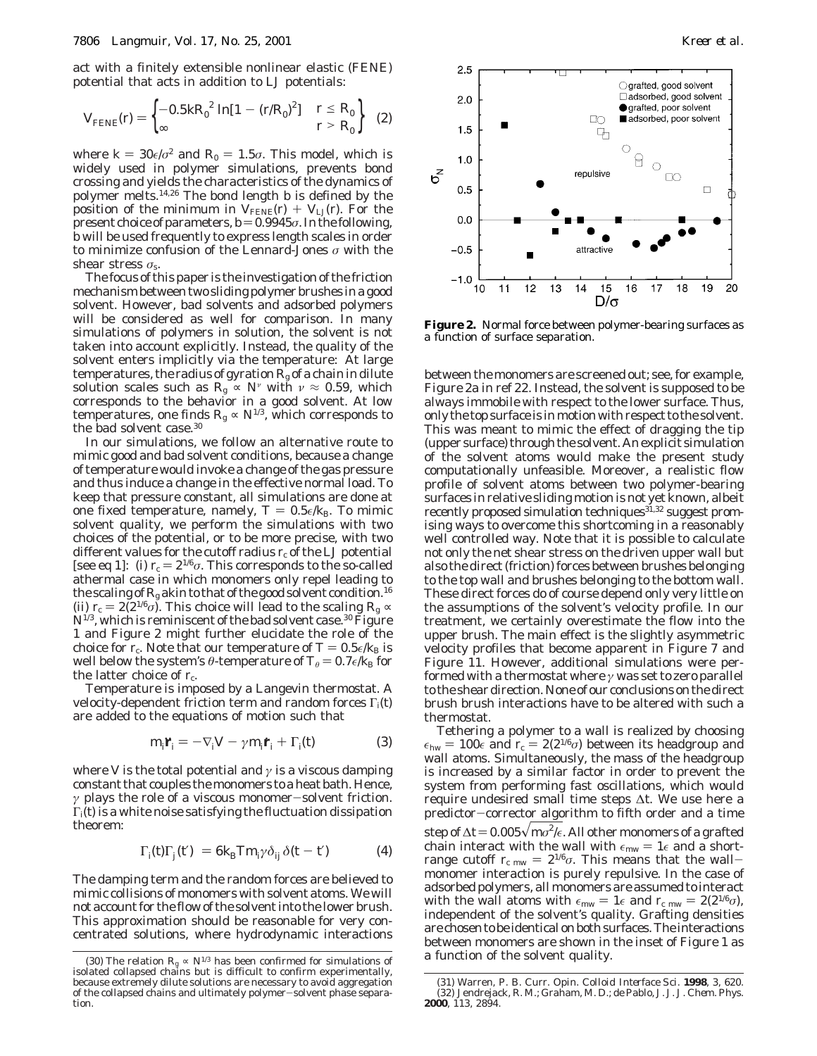act with a finitely extensible nonlinear elastic (FENE) potential that acts in addition to LJ potentials:

$$
V_{\text{FENE}}(r) = \begin{cases} -0.5kR_0^2 \ln[1 - (r/R_0)^2] & r \le R_0 \\ \infty & r > R_0 \end{cases}
$$
 (2)

where  $k = 30\epsilon/\sigma^2$  and  $R_0 = 1.5\sigma$ . This model, which is widely used in polymer simulations, prevents bond crossing and yields the characteristics of the dynamics of polymer melts.14,26 The bond length *b* is defined by the position of the minimum in  $V_{\text{FENE}}(r) + V_{\text{LJ}}(r)$ . For the present choice of parameters,  $b=0.9945\sigma$ . In the following, *b* will be used frequently to express length scales in order to minimize confusion of the Lennard-Jones *σ* with the shear stress *σ*s.

The focus of this paper is the investigation of the friction mechanism between two sliding polymer brushes in a good solvent. However, bad solvents and adsorbed polymers will be considered as well for comparison. In many simulations of polymers in solution, the solvent is not taken into account explicitly. Instead, the quality of the solvent enters implicitly via the temperature: At large temperatures, the radius of gyration  $R_{\rm g}$  of a chain in dilute solution scales such as  $R_g \propto N^{\nu}$  with  $\nu \approx 0.59$ , which corresponds to the behavior in a good solvent. At low temperatures, one finds  $R_{\rm g} \propto N^{1/3}$ , which corresponds to the bad solvent case.30

In our simulations, we follow an alternative route to mimic good and bad solvent conditions, because a change of temperature would invoke a change of the gas pressure and thus induce a change in the effective normal load. To keep that pressure constant, all simulations are done at one fixed temperature, namely,  $T = 0.5\epsilon/k_B$ . To mimic solvent quality, we perform the simulations with two choices of the potential, or to be more precise, with two different values for the cutoff radius  $r_c$  of the LJ potential [see eq 1]: (i)  $r_c = 2^{1/6}\sigma$ . This corresponds to the so-called athermal case in which monomers only repel leading to the scaling of  $R_{\rm g}$  akin to that of the good solvent condition.<sup>16</sup> (ii)  $r_c = 2(2^{1/6}\sigma)$ . This choice will lead to the scaling  $R_g \propto$  $N^{1/3}$ , which is reminiscent of the bad solvent case.<sup>30</sup> Figure 1 and Figure 2 might further elucidate the role of the choice for  $r_c$ . Note that our temperature of  $T = 0.5\epsilon/k_B$  is well below the system's *θ*-temperature of  $T_{\theta} = 0.7 \epsilon / k_{\text{B}}$  for the latter choice of  $r_c$ .

Temperature is imposed by a Langevin thermostat. A velocity-dependent friction term and random forces Γ*i*(*t*) are added to the equations of motion such that

$$
m_j \dot{\mathbf{r}}_i = -\nabla_i V - \gamma m_j \dot{\mathbf{r}}_i + \Gamma_i(t) \tag{3}
$$

where *V* is the total potential and  $\gamma$  is a viscous damping constant that couples the monomers to a heat bath. Hence, *<sup>γ</sup>* plays the role of a viscous monomer-solvent friction. Γ*i*(*t*) is a white noise satisfying the fluctuation dissipation theorem:

$$
\langle \Gamma_j(\hat{\theta}) \Gamma_j(\hat{t}') \rangle = 6k_B T m_{j'} \delta_{ij} \delta(t - t')
$$
 (4)

The damping term and the random forces are believed to mimic collisions of monomers with solvent atoms. We will not account for the flow of the solvent into the lower brush. This approximation should be reasonable for very concentrated solutions, where hydrodynamic interactions



**Figure 2.** Normal force between polymer-bearing surfaces as a function of surface separation.

between the monomers are screened out; see, for example, Figure 2a in ref 22. Instead, the solvent is supposed to be always immobile with respect to the lower surface. Thus, only the top surface is in motion with respect to the solvent. This was meant to mimic the effect of dragging the tip (upper surface) through the solvent. An explicit simulation of the solvent atoms would make the present study computationally unfeasible. Moreover, a realistic flow profile of solvent atoms between two polymer-bearing surfaces in relative sliding motion is not yet known, albeit recently proposed simulation techniques<sup>31,32</sup> suggest promising ways to overcome this shortcoming in a reasonably well controlled way. Note that it is possible to calculate not only the net shear stress on the driven upper wall but also the direct (friction) forces between brushes belonging to the top wall and brushes belonging to the bottom wall. These direct forces do of course depend only very little on the assumptions of the solvent's velocity profile. In our treatment, we certainly overestimate the flow into the upper brush. The main effect is the slightly asymmetric velocity profiles that become apparent in Figure 7 and Figure 11. However, additional simulations were performed with a thermostat where *γ* was set to zero parallel to the shear direction. None of our conclusions on the direct brush brush interactions have to be altered with such a thermostat.

Tethering a polymer to a wall is realized by choosing  $\epsilon_{\rm hw}=100\epsilon$  and  $r_{\rm c}=2(2^{1/6}\sigma)$  between its headgroup and wall atoms. Simultaneously, the mass of the headgroup is increased by a similar factor in order to prevent the system from performing fast oscillations, which would require undesired small time steps ∆*t*. We use here a predictor-corrector algorithm to fifth order and a time step of ∆*t* = 0.005√*mo<sup>2</sup>/€.* All other monomers of a grafted<br>chain\_interact\_with\_the\_wall\_with\_∈…… = 1e\_and\_a\_shortchain interact with the wall with  $\epsilon_{mw} = 1\epsilon$  and a shortrange cutoff  $r_{\text{c}}$  mw =  $2^{1/6}\sigma$ . This means that the wallmonomer interaction is purely repulsive. In the case of adsorbed polymers, all monomers are assumed to interact with the wall atoms with  $\epsilon_{mw} = 1 \epsilon$  and  $r_{c,mw} = 2(2^{1/6}\sigma)$ , independent of the solvent's quality. Grafting densities are chosen to be identical on both surfaces. The interactions between monomers are shown in the inset of Figure 1 as

<sup>(30)</sup> The relation  $R_g \propto N^{1/3}$  has been confirmed for simulations of **a** function of the solvent quality. isolated collapsed chains but is difficult to confirm experimentally, because extremely dilute solutions are necessary to avoid aggregation of the collapsed chains and ultimately polymer-solvent phase separation.

<sup>(31)</sup> Warren, P. B. *Curr. Opin. Colloid Interface Sci*. **1998**, *3*, 620. (32) Jendrejack, R. M.; Graham, M. D.; de Pablo, J. J. *J. Chem. Phys*. **2000**, *113*, 2894.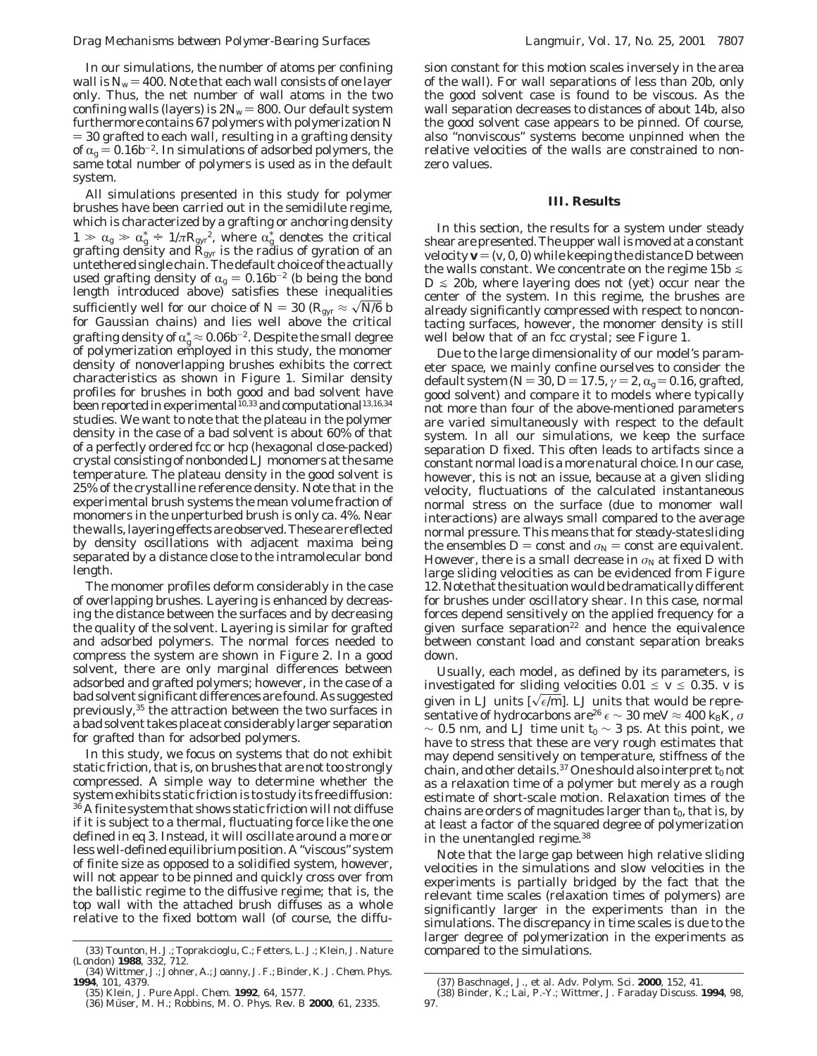In our simulations, the number of atoms per confining wall is  $N_w = 400$ . Note that each wall consists of one layer only. Thus, the net number of wall atoms in the two confining walls (layers) is  $2N_w = 800$ . Our default system furthermore contains 67 polymers with polymerization *N* ) 30 grafted to each wall, resulting in a grafting density of  $\alpha_{\varphi} = 0.16b^{-2}$ . In simulations of adsorbed polymers, the same total number of polymers is used as in the default system.

All simulations presented in this study for polymer brushes have been carried out in the semidilute regime, which is characterized by a grafting or anchoring density  $1 \gg \alpha_{\rm g} \gg \alpha_{\rm g}^* = 1/\pi R_{\rm gyr}^2$ , where  $\alpha_{\rm g}^*$  denotes the critical grafting density and  $R_{\rm em}$  is the radius of gyration of an grafting density and *R*gyr is the radius of gyration of an untethered single chain. The default choice of the actually used grafting density of  $\alpha_g = 0.16b^{-2}$  (*b* being the bond length introduced above) satisfies these inequalities sufficiently well for our choice of *N* = 30 ( $R_{\rm gyr} \approx \sqrt{N/6}$  *b* for Gaussian chains) and lies well above the critical grafting density of  $\alpha_{\rm g}^* \approx 0.06 b^{-2}$ . Despite the small degree<br>of polymerization employed in this study, the monomer of polymerization employed in this study, the monomer density of nonoverlapping brushes exhibits the correct characteristics as shown in Figure 1. Similar density profiles for brushes in both good and bad solvent have been reported in experimental<sup>10,33</sup> and computational<sup>13,16,34</sup> studies. We want to note that the plateau in the polymer density in the case of a bad solvent is about 60% of that of a perfectly ordered fcc or hcp (hexagonal close-packed) crystal consisting of nonbonded LJ monomers at the same temperature. The plateau density in the good solvent is 25% of the crystalline reference density. Note that in the experimental brush systems the mean volume fraction of monomers in the unperturbed brush is only ca. 4%. Near the walls, layering effects are observed. These are reflected by density oscillations with adjacent maxima being separated by a distance close to the intramolecular bond length.

The monomer profiles deform considerably in the case of overlapping brushes. Layering is enhanced by decreasing the distance between the surfaces and by decreasing the quality of the solvent. Layering is similar for grafted and adsorbed polymers. The normal forces needed to compress the system are shown in Figure 2. In a good solvent, there are only marginal differences between adsorbed and grafted polymers; however, in the case of a bad solvent significant differences are found. As suggested previously,35 the attraction between the two surfaces in a bad solvent takes place at considerably larger separation for grafted than for adsorbed polymers.

In this study, we focus on systems that do not exhibit static friction, that is, on brushes that are not too strongly compressed. A simple way to determine whether the system exhibits static friction is to study its free diffusion:  $36$  A finite system that shows static friction will not diffuse if it is subject to a thermal, fluctuating force like the one defined in eq 3. Instead, it will oscillate around a more or less well-defined equilibrium position. A "viscous" system of finite size as opposed to a solidified system, however, will not appear to be pinned and quickly cross over from the ballistic regime to the diffusive regime; that is, the top wall with the attached brush diffuses as a whole relative to the fixed bottom wall (of course, the diffusion constant for this motion scales inversely in the area of the wall). For wall separations of less than 20*b*, only the good solvent case is found to be viscous. As the wall separation decreases to distances of about 14*b*, also the good solvent case appears to be pinned. Of course, also "nonviscous" systems become unpinned when the relative velocities of the walls are constrained to nonzero values.

# **III. Results**

In this section, the results for a system under steady shear are presented. The upper wall is moved at a constant velocity  $\mathbf{v} = (v, 0, 0)$  while keeping the distance *D* between the walls constant. We concentrate on the regime  $15b \leq$  $D \le 20b$ , where layering does not (yet) occur near the center of the system. In this regime, the brushes are already significantly compressed with respect to noncontacting surfaces, however, the monomer density is still well below that of an fcc crystal; see Figure 1.

Due to the large dimensionality of our model's parameter space, we mainly confine ourselves to consider the default system ( $N = 30$ ,  $D = 17.5$ ,  $\gamma = 2$ ,  $\alpha_{\rm g} = 0.16$ , grafted, good solvent) and compare it to models where typically not more than four of the above-mentioned parameters are varied simultaneously with respect to the default system. In all our simulations, we keep the surface separation *D* fixed. This often leads to artifacts since a constant normal load is a more natural choice. In our case, however, this is not an issue, because at a given sliding velocity, fluctuations of the calculated instantaneous normal stress on the surface (due to monomer wall interactions) are always small compared to the average normal pressure. This means that for *steady-state* sliding the ensembles  $D =$  const and  $\sigma_N =$  const are equivalent. However, there is a small decrease in  $\sigma_N$  at fixed *D* with large sliding velocities as can be evidenced from Figure 12. Note that the situation would be dramatically different for brushes under oscillatory shear. In this case, normal forces depend sensitively on the applied frequency for a given surface separation $22$  and hence the equivalence between constant load and constant separation breaks down.

Usually, each model, as defined by its parameters, is investigated for sliding velocities  $0.01 \le v \le 0.35$ . *v* is given in LJ units  $[\sqrt{\epsilon/m}]$ . LJ units that would be representative of hydrocarbons are<sup>26</sup>  $\epsilon \sim 30$  meV  $\approx 400$   $k_B K$ ,  $\sigma$  $∼$  0.5 nm, and LJ time unit  $t_0$  ∼ 3 ps. At this point, we have to stress that these are very rough estimates that may depend sensitively on temperature, stiffness of the chain, and other details.<sup>37</sup> One should also interpret  $t_0$  *not* as a relaxation time of a polymer but merely as a rough estimate of short-scale motion. Relaxation times of the chains are orders of magnitudes larger than  $t_0$ , that is, by at least a factor of the squared degree of polymerization in the unentangled regime.38

Note that the large gap between high relative sliding velocities in the simulations and slow velocities in the experiments is partially bridged by the fact that the relevant time scales (relaxation times of polymers) are significantly larger in the experiments than in the simulations. The discrepancy in time scales is due to the larger degree of polymerization in the experiments as

<sup>(33)</sup> Tounton, H. J.; Toprakcioglu, C.; Fetters, L. J.; Klein, J. *Nature* compared to the simulations. *(London)* **<sup>1988</sup>**, *<sup>332</sup>*, 712.

<sup>(34)</sup> Wittmer, J.; Johner, A.; Joanny, J. F.; Binder, K. *J. Chem. Phys*. **1994**, *101*, 4379.

<sup>(35)</sup> Klein, J. *Pure Appl. Chem*. **1992**, *64*, 1577.<br>(36) Müser, M. H.; Robbins, M. O. *Phys. Rev. B* **2000**, *61*, 2335.

<sup>(37)</sup> Baschnagel, J., et al. *Adv. Polym. Sci*. **2000**, *152*, 41.

<sup>(38)</sup> Binder, K.; Lai, P.-Y.; Wittmer, J. *Faraday Discuss*. **1994**, *98*, 97.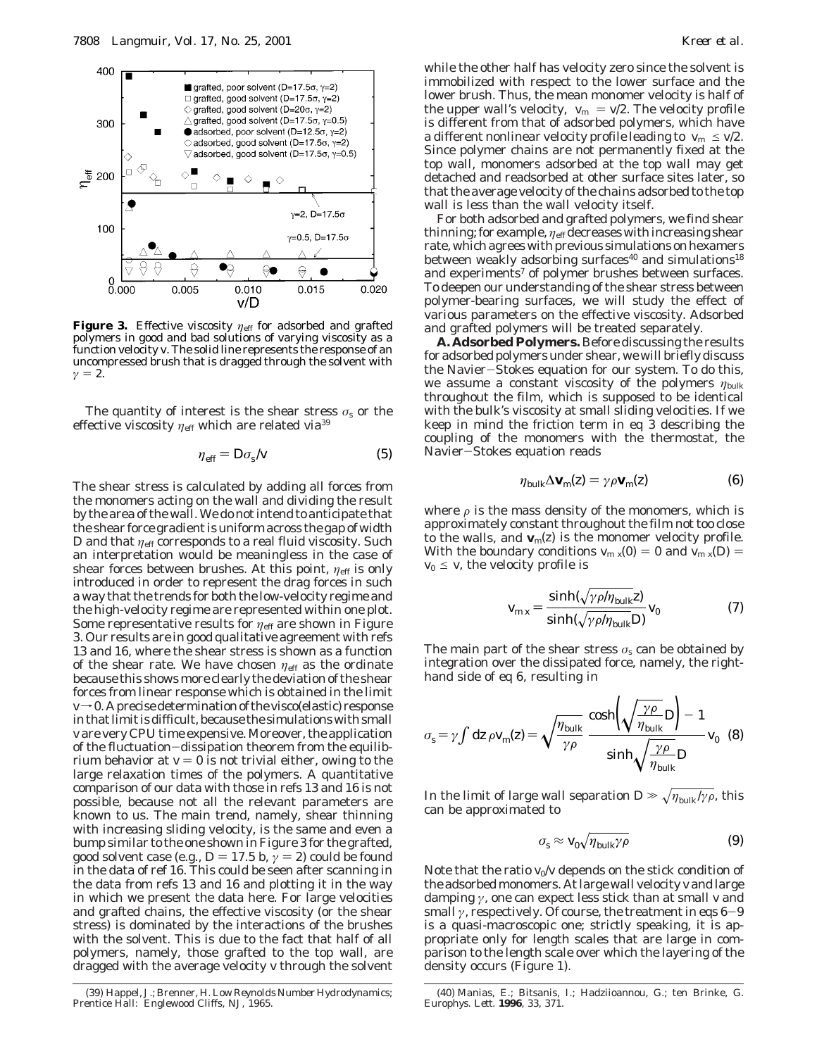

**Figure 3.** Effective viscosity *η*<sub>eff</sub> for adsorbed and grafted polymers in good and bad solutions of varying viscosity as a function velocity *v*. The solid line represents the response of an uncompressed brush that is dragged through the solvent with  $\gamma = 2$ .

The quantity of interest is the shear stress  $\sigma_s$  or the effective viscosity  $\eta_{\text{eff}}$  which are related via<sup>39</sup>

$$
\eta_{\rm eff} = D\sigma_{\rm s}/v \tag{5}
$$

The shear stress is calculated by adding all forces from the monomers acting on the wall and dividing the result by the area of the wall. We do not intend to anticipate that the shear force gradient is uniform across the gap of width  $D$  and that  $\eta_{\text{eff}}$  corresponds to a real fluid viscosity. Such an interpretation would be meaningless in the case of shear forces between brushes. At this point,  $η_{\text{eff}}$  is only introduced in order to represent the drag forces in such a way that the trends for both the low-velocity regime and the high-velocity regime are represented within one plot. Some representative results for  $η_{\text{eff}}$  are shown in Figure 3. Our results are in good qualitative agreement with refs 13 and 16, where the shear stress is shown as a function of the shear rate. We have chosen  $\eta_{\text{eff}}$  as the ordinate because this shows more clearly the deviation of the shear forces from linear response which is obtained in the limit  $v\rightarrow 0$ . A precise determination of the visco(elastic) response in that limit is difficult, because the simulations with small *v* are very CPU time expensive. Moreover, the application of the fluctuation-dissipation theorem from the equilibrium behavior at  $v = 0$  is not trivial either, owing to the large relaxation times of the polymers. A quantitative comparison of our data with those in refs 13 and 16 is not possible, because not all the relevant parameters are known to us. The main trend, namely, shear thinning with increasing sliding velocity, is the same and even a bump similar to the one shown in Figure 3 for the grafted, good solvent case (e.g.,  $D = 17.5$  *b*,  $\gamma = 2$ ) could be found in the data of ref 16. This could be seen after scanning in the data from refs 13 and 16 and plotting it in the way in which we present the data here. For large velocities and grafted chains, the effective viscosity (or the shear stress) is dominated by the interactions of the brushes with the solvent. This is due to the fact that half of all polymers, namely, those grafted to the top wall, are dragged with the average velocity *v* through the solvent

while the other half has velocity zero since the solvent is immobilized with respect to the lower surface and the lower brush. Thus, the mean monomer velocity is half of the upper wall's velocity,  $\langle v_m \rangle = v/2$ . The velocity profile is different from that of adsorbed polymers, which have a different nonlinear velocity profile leading to  $\langle v_{\rm m} \rangle \leq v/2$ . Since polymer chains are not permanently fixed at the top wall, monomers adsorbed at the top wall may get detached and readsorbed at other surface sites later, so that the average velocity of the chains adsorbed to the top wall is less than the wall velocity itself.

For both adsorbed and grafted polymers, we find shear thinning; for example,  $η_{\text{eff}}$  decreases with increasing shear rate, which agrees with previous simulations on hexamers between weakly adsorbing surfaces<sup>40</sup> and simulations<sup>18</sup> and experiments<sup>7</sup> of polymer brushes between surfaces. To deepen our understanding of the shear stress between polymer-bearing surfaces, we will study the effect of various parameters on the effective viscosity. Adsorbed and grafted polymers will be treated separately.

**A. Adsorbed Polymers.** Before discussing the results for adsorbed polymers under shear, we will briefly discuss the Navier-Stokes equation for our system. To do this, we assume a constant viscosity of the polymers *η*bulk throughout the film, which is supposed to be identical with the bulk's viscosity at small sliding velocities. If we keep in mind the friction term in eq 3 describing the coupling of the monomers with the thermostat, the Navier-Stokes equation reads

$$
\eta_{\text{bulk}} \Delta \mathbf{v}_{\text{m}}(z) = \gamma \rho \mathbf{v}_{\text{m}}(z) \tag{6}
$$

where  $\rho$  is the mass density of the monomers, which is approximately constant throughout the film not too close to the walls, and  $\mathbf{v}_m(z)$  is the monomer velocity profile. With the boundary conditions  $v_{m}$   $_{x}(0) = 0$  and  $v_{m}$   $_{x}(D) = 0$  $v_0 \leq v$ , the velocity profile is

$$
v_{\text{m }x} = \frac{\sinh(\sqrt{\gamma \rho/\eta_{\text{bulk}}}z)}{\sinh(\sqrt{\gamma \rho/\eta_{\text{bulk}}}D)} v_0 \tag{7}
$$

The main part of the shear stress  $\sigma_s$  can be obtained by integration over the dissipated force, namely, the righthand side of eq 6, resulting in

$$
\sigma_{\rm s} = \gamma \int \mathrm{d}z \,\rho \, v_{\rm m}(z) = \sqrt{\frac{\eta_{\rm bulk}}{\gamma \rho}} \, \frac{\cosh\left(\sqrt{\frac{\gamma \rho}{\eta_{\rm bulk}} D}\right) - 1}{\sinh\sqrt{\frac{\gamma \rho}{\eta_{\rm bulk}} D}} \, v_0 \quad (8)
$$

In the limit of large wall separation  $D \gg \sqrt{\eta_{\text{bulk}}/\gamma \rho}$ , this can be approximated to

$$
\sigma_{\rm s} \approx \nu_0 \sqrt{\eta_{\rm bulk} \gamma \rho} \tag{9}
$$

Note that the ratio  $v_0/v$  depends on the stick condition of the adsorbed monomers. At large wall velocity *v* and large damping *γ*, one can expect less stick than at small *v* and small  $\gamma$ , respectively. Of course, the treatment in eqs  $6-9$ is a quasi-macroscopic one; strictly speaking, it is appropriate only for length scales that are large in comparison to the length scale over which the layering of the density occurs (Figure 1).

<sup>(39)</sup> Happel, J.; Brenner, H. *Low Reynolds Number Hydrodynamics*; Prentice Hall: Englewood Cliffs, NJ, 1965.

<sup>(40)</sup> Manias, E.; Bitsanis, I.; Hadziioannou, G.; ten Brinke, G. *Europhys. Lett*. **1996**, *33*, 371.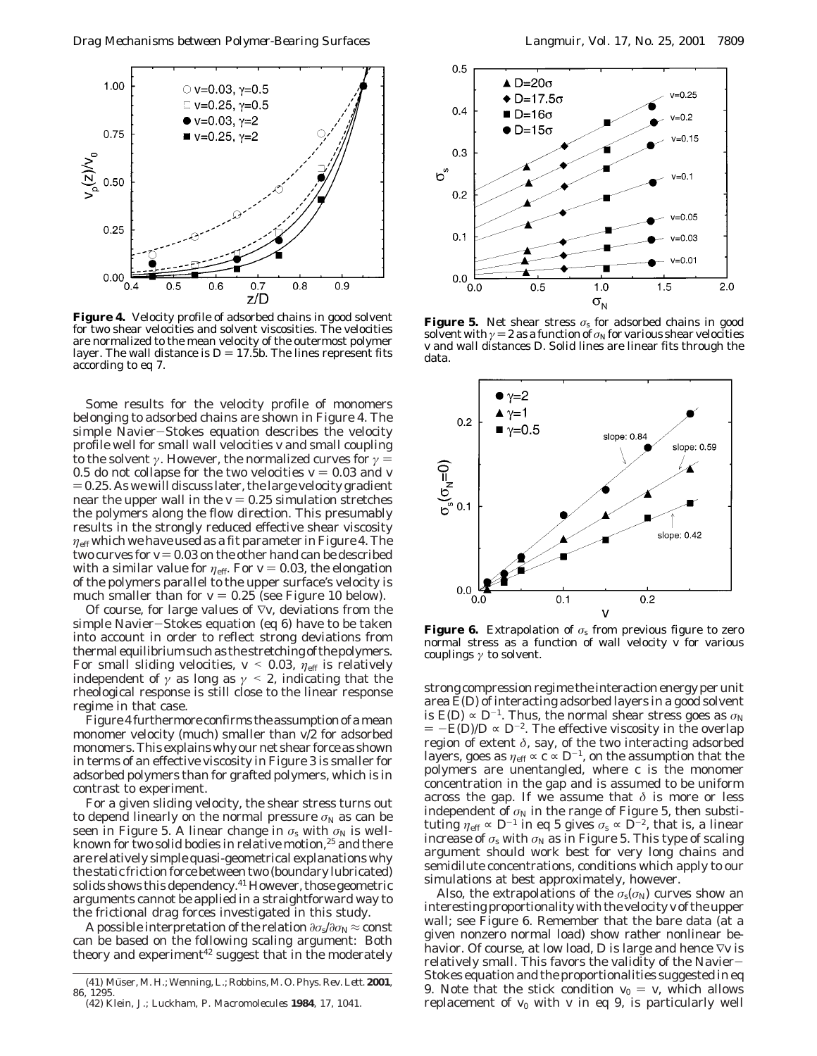

**Figure 4.** Velocity profile of adsorbed chains in good solvent for two shear velocities and solvent viscosities. The velocities are normalized to the mean velocity of the outermost polymer layer. The wall distance is  $D = 17.5b$ . The lines represent fits according to eq 7.

Some results for the velocity profile of monomers belonging to adsorbed chains are shown in Figure 4. The simple Navier-Stokes equation describes the velocity profile well for small wall velocities *v* and small coupling to the solvent *γ*. However, the normalized curves for  $\gamma$  = 0.5 do not collapse for the two velocities  $v = 0.03$  and  $v = 0.03$  $= 0.25$ . As we will discuss later, the large velocity gradient near the upper wall in the  $v = 0.25$  simulation stretches the polymers along the flow direction. This presumably results in the strongly reduced effective shear viscosity  $\eta_{\rm eff}$  which we have used as a fit parameter in Figure 4. The two curves for  $v = 0.03$  on the other hand can be described with a similar value for  $\eta_{\text{eff}}$ . For  $v = 0.03$ , the elongation of the polymers parallel to the upper surface's velocity is much smaller than for  $v = 0.25$  (see Figure 10 below).

Of course, for large values of ∇*v*, deviations from the simple Navier-Stokes equation (eq 6) have to be taken into account in order to reflect strong deviations from thermal equilibrium such as the stretching of the polymers. For small sliding velocities,  $v < 0.03$ ,  $\eta_{\text{eff}}$  is relatively independent of  $\gamma$  as long as  $\gamma$  < 2, indicating that the rheological response is still close to the linear response regime in that case.

Figure 4 furthermore confirms the assumption of a mean monomer velocity (much) smaller than *v*/2 for adsorbed monomers. This explains why our net shear force as shown in terms of an effective viscosity in Figure 3 is smaller for adsorbed polymers than for grafted polymers, which is in contrast to experiment.

For a given sliding velocity, the shear stress turns out to depend linearly on the normal pressure  $\sigma_N$  as can be seen in Figure 5. A linear change in  $\sigma_s$  with  $\sigma_N$  is wellknown for two solid bodies in relative motion,<sup>25</sup> and there are relatively simple quasi-geometrical explanations why the *static* friction force between two (boundary lubricated) solids shows this dependency.<sup>41</sup> However, those geometric arguments cannot be applied in a straightforward way to the frictional drag forces investigated in this study.

A possible interpretation of the relation  $\partial \sigma_s / \partial \sigma_N$  ≈ const can be based on the following scaling argument: Both theory and experiment<sup>42</sup> suggest that in the moderately



**Figure 5.** Net shear stress  $\sigma_s$  for adsorbed chains in good solvent with  $\gamma = 2$  as a function of  $\sigma_N$  for various shear velocities *v* and wall distances *D*. Solid lines are linear fits through the data.



**Figure 6.** Extrapolation of  $\sigma_s$  from previous figure to zero normal stress as a function of wall velocity *v* for various couplings *γ* to solvent.

strong compression regime the interaction energy per unit area *E*(*D*) of interacting adsorbed layers in a good solvent is  $E(D) \propto D^{-1}$ . Thus, the normal shear stress goes as  $\sigma_N$  $= -E(D)/D \propto D^{-2}$ . The effective viscosity in the overlap region of extent  $\delta$ , say, of the two interacting adsorbed layers, goes as  $\eta_{\text{eff}} \propto c \propto D^{-1}$ , on the assumption that the polymers are unentangled, where *c* is the monomer concentration in the gap and is assumed to be uniform across the gap. If we assume that  $\delta$  is more or less independent of  $\sigma_N$  in the range of Figure 5, then substituting  $\eta_{\text{eff}} \propto D^{-1}$  in eq 5 gives  $\sigma_s \propto \bar{D}^{-2}$ , that is, a linear increase of  $\sigma_s$  with  $\sigma_N$  as in Figure 5. This type of scaling argument should work best for very long chains and semidilute concentrations, conditions which apply to our simulations at best approximately, however.

Also, the extrapolations of the  $\sigma_s(\sigma_N)$  curves show an interesting proportionality with the velocity *v* of the upper wall; see Figure 6. Remember that the bare data (at a given nonzero normal load) show rather nonlinear behavior. Of course, at low load, *D* is large and hence ∇*v* is relatively small. This favors the validity of the Navier-Stokes equation and the proportionalities suggested in eq 9. Note that the stick condition  $v_0 = v$ , which allows replacement of  $v_0$  with  $v$  in eq 9, is particularly well

<sup>(41)</sup> Mu¨ser, M. H.; Wenning, L.; Robbins, M. O.*Phys. Rev. Lett*. **2001**, *86*, 1295.

<sup>(42)</sup> Klein, J.; Luckham, P. *Macromolecules* **1984**, *17*, 1041.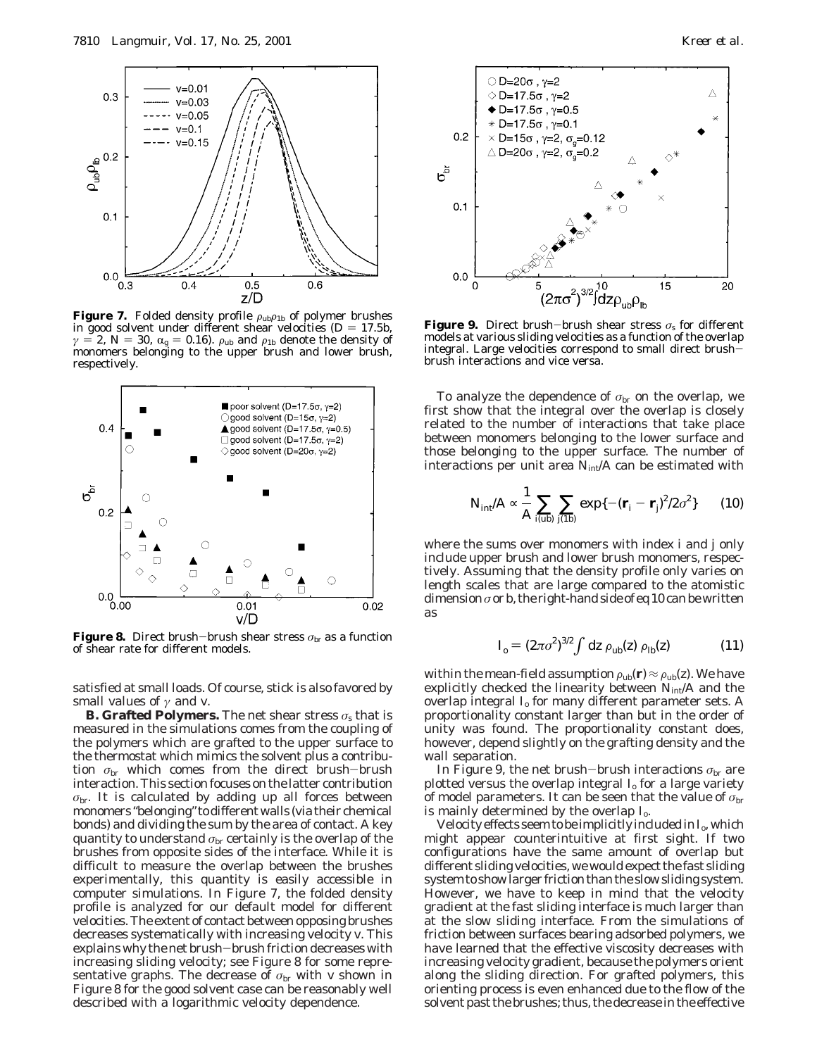

**Figure 7.** Folded density profile  $\rho_{ub}\rho_{1b}$  of polymer brushes in good solvent under different shear velocities ( $D = 17.5b$ , *γ* = 2, *N* = 30,  $\alpha$ <sub>g</sub> = 0.16).  $\rho$ <sub>ub</sub> and  $\rho$ <sub>1b</sub> denote the density of monomers belonging to the upper brush and lower brush, respectively.



**Figure 8.** Direct brush-brush shear stress  $\sigma_{\rm br}$  as a function of shear rate for different models.

satisfied at small loads. Of course, stick is also favored by small values of *γ* and *v*.

**B. Grafted Polymers.** The net shear stress  $\sigma_s$  that is measured in the simulations comes from the coupling of the polymers which are grafted to the upper surface to the thermostat which mimics the solvent plus a contribution  $\sigma_{\rm br}$  which comes from the direct brush-brush interaction. This section focuses on the latter contribution  $\sigma_{\rm br}$ . It is calculated by adding up all forces between monomers "belonging" to different walls (via their chemical bonds) and dividing the sum by the area of contact. A key quantity to understand *σ*br certainly is the overlap of the brushes from opposite sides of the interface. While it is difficult to measure the overlap between the brushes experimentally, this quantity is easily accessible in computer simulations. In Figure 7, the folded density profile is analyzed for our default model for different velocities. The extent of contact between opposing brushes decreases systematically with increasing velocity *v*. This explains why the net brush-brush friction decreases with increasing sliding velocity; see Figure 8 for some representative graphs. The decrease of  $\sigma_{\rm br}$  with *v* shown in Figure 8 for the good solvent case can be reasonably well described with a logarithmic velocity dependence.



**Figure 9.** Direct brush-brush shear stress  $\sigma_s$  for different models at various sliding velocities as a function of the overlap integral. Large velocities correspond to small direct brushbrush interactions and vice versa.

To analyze the dependence of  $\sigma_{\rm br}$  on the overlap, we first show that the integral over the overlap is closely related to the number of interactions that take place between monomers belonging to the lower surface and those belonging to the upper surface. The number of interactions per unit area  $N_{int}/A$  can be estimated with

$$
N_{\rm int}/A \propto \frac{1}{A} \sum_{i(\rm ub)} \sum_{j(\rm 1b)} \exp\{-(\mathbf{r}_i - \mathbf{r}_j)^2/2\sigma^2\} \qquad (10)
$$

where the sums over monomers with index *i* and *j* only include upper brush and lower brush monomers, respectively. Assuming that the density profile only varies on length scales that are large compared to the atomistic dimension*σ* or *b*, the right-hand side of eq 10 can be written as

$$
I_{\rm o} = (2\pi\sigma^2)^{3/2} \int dz \,\rho_{\rm ub}(z) \,\rho_{\rm lb}(z) \tag{11}
$$

within the mean-field assumption  $\rho_{\rm ub}({\bf r}) \approx \rho_{\rm ub}(z)$ . We have explicitly checked the linearity between  $N_{int}/A$  and the overlap integral *I*<sup>o</sup> for many different parameter sets. A proportionality constant larger than but in the order of unity was found. The proportionality constant does, however, depend slightly on the grafting density and the wall separation.

In Figure 9, the net brush-brush interactions  $\sigma_{\rm br}$  are plotted versus the overlap integral *I*<sup>o</sup> for a large variety of model parameters. It can be seen that the value of *σ*br is mainly determined by the overlap *I*o.

Velocity effects seem to be implicitly included in  $I_0$ , which might appear counterintuitive at first sight. If two configurations have the same amount of overlap but different sliding velocities, we would expect the fast sliding system to show larger friction than the slow sliding system. However, we have to keep in mind that the velocity gradient at the fast sliding interface is much larger than at the slow sliding interface. From the simulations of friction between surfaces bearing adsorbed polymers, we have learned that the effective viscosity decreases with increasing velocity gradient, because the polymers orient along the sliding direction. For grafted polymers, this orienting process is even enhanced due to the flow of the solvent past the brushes; thus, the decrease in the effective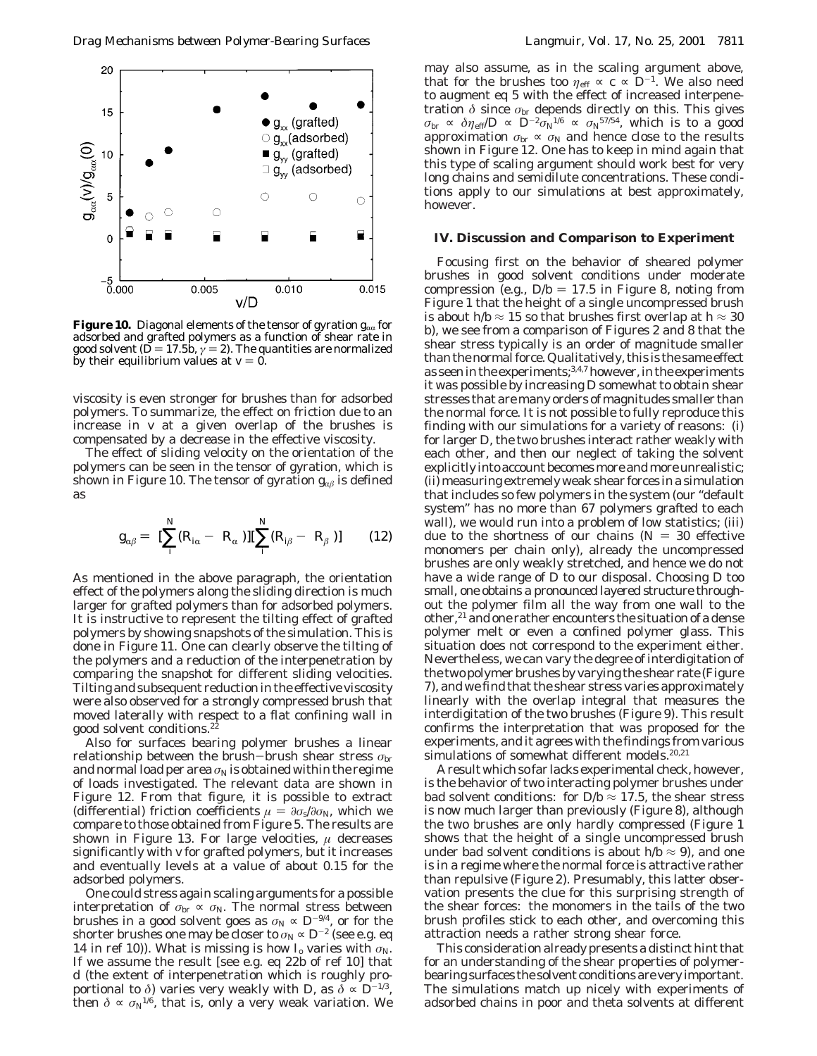

**Figure 10.** Diagonal elements of the tensor of gyration  $g_{\alpha\alpha}$  for adsorbed and grafted polymers as a function of shear rate in good solvent ( $\breve{D}$  = 17.5*b*,  $\breve{\gamma}$  = 2). The quantities are normalized by their equilibrium values at  $v = 0$ .

viscosity is even stronger for brushes than for adsorbed polymers. To summarize, the effect on friction due to an increase in *v* at a given overlap of the brushes is compensated by a decrease in the effective viscosity.

The effect of sliding velocity on the orientation of the polymers can be seen in the tensor of gyration, which is shown in Figure 10. The tensor of gyration  $g_{\alpha\beta}$  is defined as

$$
g_{\alpha\beta} = \langle \left[\sum_{i}^{N} (R_{i\alpha} - \langle R_{\alpha} \rangle)\right] \left[\sum_{i}^{N} (R_{i\beta} - \langle R_{\beta} \rangle)\right] \rangle \qquad (12)
$$

As mentioned in the above paragraph, the orientation effect of the polymers along the sliding direction is much larger for grafted polymers than for adsorbed polymers. It is instructive to represent the tilting effect of grafted polymers by showing snapshots of the simulation. This is done in Figure 11. One can clearly observe the tilting of the polymers and a reduction of the interpenetration by comparing the snapshot for different sliding velocities. Tilting and subsequent reduction in the effective viscosity were also observed for a strongly compressed brush that moved laterally with respect to a flat confining wall in good solvent conditions.22

Also for surfaces bearing polymer brushes a linear relationship between the brush-brush shear stress  $\sigma_{\rm br}$ and normal load per area  $\sigma_N$  is obtained within the regime of loads investigated. The relevant data are shown in Figure 12. From that figure, it is possible to extract (differential) friction coefficients  $\mu = \partial \sigma_s / \partial \sigma_N$ , which we compare to those obtained from Figure 5. The results are shown in Figure 13. For large velocities, *µ* decreases significantly with *v* for grafted polymers, but it increases and eventually levels at a value of about 0.15 for the adsorbed polymers.

One could stress again scaling arguments for a possible interpretation of  $\sigma_{\rm br} \propto \sigma_{\rm N}$ . The normal stress between brushes in a good solvent goes as  $\sigma_N \propto D^{-9/4}$ , or for the shorter brushes one may be closer to  $\sigma_N \propto D^{-2}$  (see e.g. eq. 14 in ref 10)). What is missing is how  $I_0$  varies with  $\sigma_N$ . If we assume the result [see e.g. eq 22b of ref 10] that *d* (the extent of interpenetration which is roughly proportional to  $\delta$ ) varies very weakly with *D*, as  $\delta \propto D^{-1/3}$ , then  $\delta \propto \sigma_N^{1/6}$ , that is, only a very weak variation. We

may also assume, as in the scaling argument above, that for the brushes too  $\eta_{\text{eff}} \propto c \propto D^{-1}$ . We also need to augment eq 5 with the effect of increased interpenetration *δ* since *σ*br depends directly on this. This gives  $\sigma_{\rm br} \propto \delta \eta_{\rm eff} / D \propto D^{-2} \sigma_{\rm N}^{1/6} \propto \sigma_{\rm N}^{57/54}$ , which is to a good approximation  $\sigma_{\rm br} \propto \sigma_{\rm N}$  and hence close to the results shown in Figure 12. One has to keep in mind again that this type of scaling argument should work best for very long chains and semidilute concentrations. These conditions apply to our simulations at best approximately, however.

### **IV. Discussion and Comparison to Experiment**

Focusing first on the behavior of sheared polymer brushes in good solvent conditions under moderate compression (e.g.,  $D/b = 17.5$  in Figure 8, noting from Figure 1 that the height of a single uncompressed brush is about *h*/*b*  $\approx$  15 so that brushes first overlap at *h*  $\approx$  30 *b*), we see from a comparison of Figures 2 and 8 that the shear stress typically is an order of magnitude smaller than the normal force. Qualitatively, this is the same effect as seen in the experiments;<sup>3,4,7</sup> however, in the experiments it was possible by increasing *D* somewhat to obtain shear stresses that are many orders of magnitudes smaller than the normal force. It is not possible to fully reproduce this finding with our simulations for a variety of reasons: (i) for larger *D*, the two brushes interact rather weakly with each other, and then our neglect of taking the solvent explicitly into account becomes more and more unrealistic; (ii) measuring extremely weak shear forces in a simulation that includes so few polymers in the system (our "default system" has no more than 67 polymers grafted to each wall), we would run into a problem of low statistics; (iii) due to the shortness of our chains  $(N = 30$  effective monomers per chain only), already the uncompressed brushes are only weakly stretched, and hence we do not have a wide range of *D* to our disposal. Choosing *D* too small, one obtains a pronounced layered structure throughout the polymer film all the way from one wall to the other, $^{21}$  and one rather encounters the situation of a dense polymer melt or even a confined polymer glass. This situation does not correspond to the experiment either. Nevertheless, we can vary the degree of interdigitation of the two polymer brushes by varying the shear rate (Figure 7), and we find that the shear stress varies approximately linearly with the overlap integral that measures the interdigitation of the two brushes (Figure 9). This result confirms the interpretation that was proposed for the experiments, and it agrees with the findings from various simulations of somewhat different models.20,21

A result which so far lacks experimental check, however, is the behavior of two interacting polymer brushes under bad solvent conditions: for  $D/b \approx 17.5$ , the shear stress is now much larger than previously (Figure 8), although the two brushes are only hardly compressed (Figure 1 shows that the height of a single uncompressed brush under bad solvent conditions is about  $h/b \approx 9$ ), and one is in a regime where the normal force is attractive rather than repulsive (Figure 2). Presumably, this latter observation presents the clue for this surprising strength of the shear forces: the monomers in the tails of the two brush profiles stick to each other, and overcoming this attraction needs a rather strong shear force.

This consideration already presents a distinct hint that for an understanding of the shear properties of polymerbearing surfaces the solvent conditions are very important. The simulations match up nicely with experiments of adsorbed chains in poor and theta solvents at different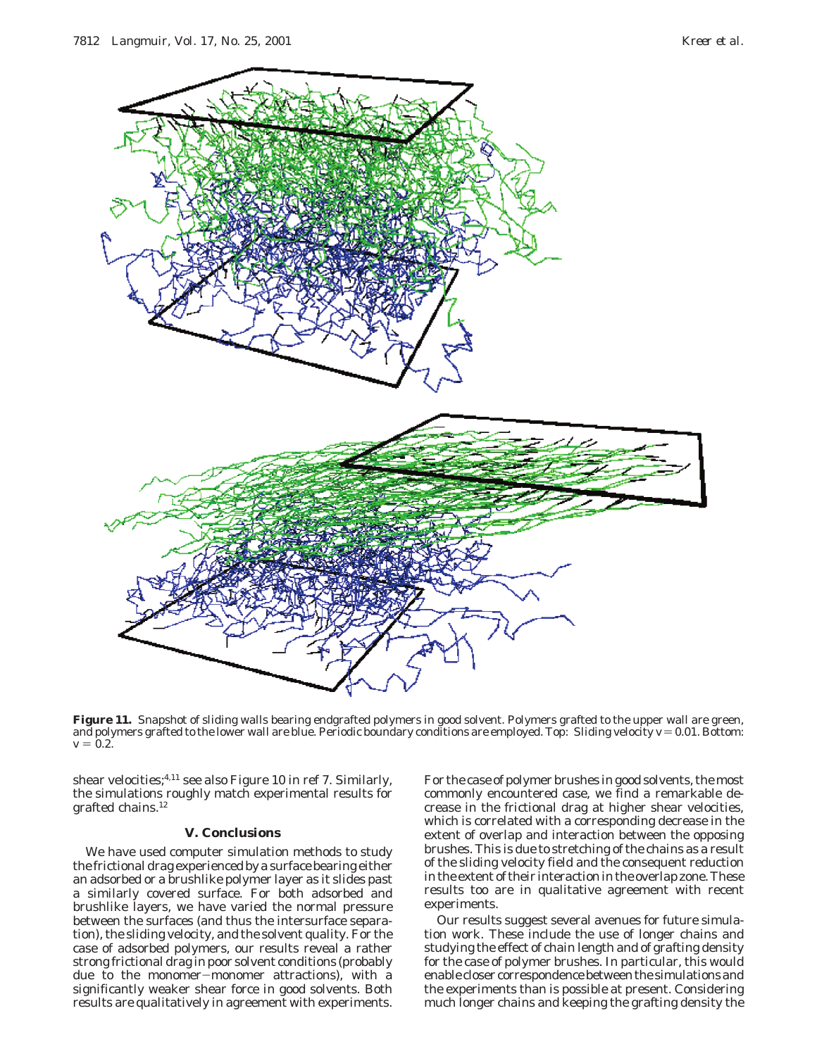

Figure 11. Snapshot of sliding walls bearing endgrafted polymers in good solvent. Polymers grafted to the upper wall are green, and polymers grafted to the lower wall are blue. Periodic boundary conditions are employed. Top: Sliding velocity  $v = 0.01$ . Bottom:  $v = 0.2$ .

shear velocities;<sup>4,11</sup> see also Figure 10 in ref 7. Similarly, the simulations roughly match experimental results for grafted chains.12

# **V. Conclusions**

We have used computer simulation methods to study the frictional drag experienced by a surface bearing either an adsorbed or a brushlike polymer layer as it slides past a similarly covered surface. For both adsorbed and brushlike layers, we have varied the normal pressure between the surfaces (and thus the intersurface separation), the sliding velocity, and the solvent quality. For the case of adsorbed polymers, our results reveal a rather strong frictional drag in poor solvent conditions (probably due to the monomer-monomer attractions), with a significantly weaker shear force in good solvents. Both results are qualitatively in agreement with experiments.

For the case of polymer brushes in good solvents, the most commonly encountered case, we find a remarkable decrease in the frictional drag at higher shear velocities, which is correlated with a corresponding decrease in the extent of overlap and interaction between the opposing brushes. This is due to stretching of the chains as a result of the sliding velocity field and the consequent reduction in the extent of their interaction in the overlap zone. These results too are in qualitative agreement with recent experiments.

Our results suggest several avenues for future simulation work. These include the use of longer chains and studying the effect of chain length and of grafting density for the case of polymer brushes. In particular, this would enable closer correspondence between the simulations and the experiments than is possible at present. Considering much longer chains and keeping the grafting density the